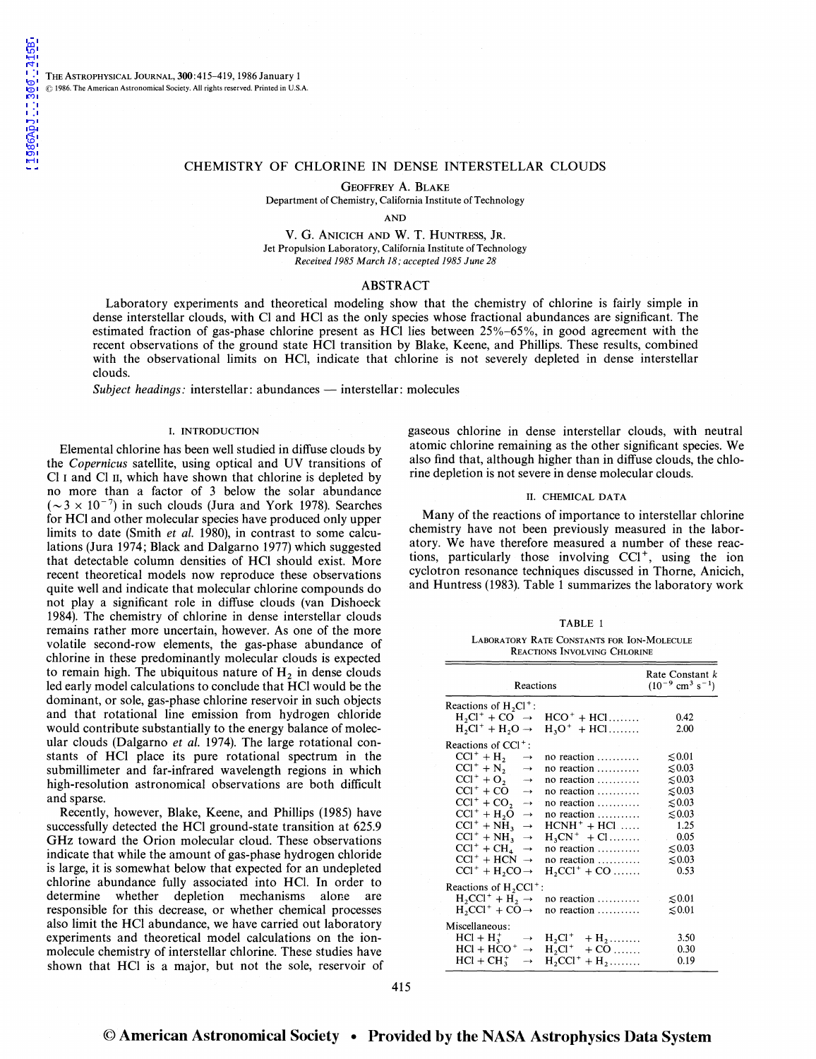THE ASTROPHYSICAL JOURNAL, 300:415-419, 1986 January 1 © 1986. The American Astronomical Society. All rights reserved. Printed in U.S.A.

## CHEMISTRY OF CHLORINE IN DENSE INTERSTELLAR CLOUDS

GEOFFREY A. BLAKE Department of Chemistry, California Institute of Technology

AND

V. G. ANICICH AND W. T. HUNTRESS, JR. Jet Propulsion Laboratory, California Institute of Technology *Received 1985 March 18; accepted 1985 June 28* 

# ABSTRACT

Laboratory experiments and theoretical modeling show that the chemistry of chlorine is fairly simple in dense interstellar clouds, with Cl and HCl as the only species whose fractional abundances are significant. The estimated fraction of gas-phase chlorine present as HCl lies between 25%-65%, in good agreement with the recent observations of the ground state HCl transition by Blake, Keene, and Phillips. These results, combined with the observational limits on HCl, indicate that chlorine is not severely depleted in dense interstellar clouds.

*Subject headings:* interstellar: abundances — interstellar: molecules

### I. INTRODUCTION

Elemental chlorine has been well studied in diffuse clouds by the *Copernicus* satellite, using optical and UV transitions of Cl 1 and Cl II, which have shown that chlorine is depleted by no more than a factor of 3 below the solar abundance  $({\sim}3 \times 10^{-7})$  in such clouds (Jura and York 1978). Searches for HCI and other molecular species have produced only upper limits to date (Smith *et al.* 1980), in contrast to some calculations (Jura 1974; Black and Dalgarno 1977) which suggested that detectable column densities of HCI should exist. More recent theoretical models now reproduce these observations quite well and indicate that molecular chlorine compounds do not play a significant role in diffuse clouds (van Dishoeck 1984). The chemistry of chlorine in dense interstellar clouds remains rather more uncertain, however. As one of the more volatile second-row elements, the gas-phase abundance of chlorine in these predominantly molecular clouds is expected to remain high. The ubiquitous nature of  $H<sub>2</sub>$  in dense clouds led early model calculations to conclude that HCI would be the dominant, or sole, gas-phase chlorine reservoir in such objects and that rotational line emission from hydrogen chloride would contribute substantially to the energy balance of molecular clouds (Dalgarno *et al.* 1974). The large rotational constants of HCl place its pure rotational spectrum in the submillimeter and far-infrared wavelength regions in which high-resolution astronomical observations are both difficult and sparse.

Recently, however, Blake, Keene, and Phillips (1985) have successfully detected the HCl ground-state transition at 625.9 GHz toward the Orion molecular cloud. These observations indicate that while the amount of gas-phase hydrogen chloride is large, it is somewhat below that expected for an undepleted chlorine abundance fully associated into HCI. In order to determine whether depletion mechanisms alone are responsible for this decrease, or whether chemical processes also limit the HCl abundance, we have carried out laboratory experiments and theoretical model calculations on the ionmolecule chemistry of interstellar chlorine. These studies have shown that HCl is a major, but not the sole, reservoir of gaseous chlorine in dense interstellar clouds, with neutral atomic chlorine remaining as the other significant species. We also find that, although higher than in diffuse clouds, the chlorine depletion is not severe in dense molecular clouds.

### II. CHEMICAL DATA

Many of the reactions of importance to interstellar chlorine chemistry have not been previously measured in the laboratory. We have therefore measured a number of these reactions, particularly those involving CCI+, using the ion cyclotron resonance techniques discussed in Thorne, Anicich, and Huntress (1983). Table 1 summarizes the laboratory work

| w<br>۰. |
|---------|
|---------|

LABORATORY RATE CoNSTANTS FOR ION-MOLECULE REACTIONS INVOLVING CHLORINE

| Reactions                             |                                  | Rate Constant k<br>$(10^{-9}$ cm <sup>3</sup> s <sup>-1</sup> ) |  |
|---------------------------------------|----------------------------------|-----------------------------------------------------------------|--|
| Reactions of $H_2Cl^+$ :              |                                  |                                                                 |  |
| $H_2Cl^+ + CO \rightarrow$            | $HCO^+ + HCl$                    | 0.42                                                            |  |
| $H_2Cl^+ + H_2O \rightarrow$          | $H_3O^+ + HCl$                   | 2.00                                                            |  |
| Reactions of $CC1^+$ :                |                                  |                                                                 |  |
| $CC1^+ + H_2$<br>$\rightarrow$        | no reaction                      | $\lesssim 0.01$                                                 |  |
| $CCI^+ + N_2$<br>$\longrightarrow$    | no reaction                      | $\lesssim 0.03$                                                 |  |
| $CC1^+ + O_2 \rightarrow$             | no reaction                      | $\lesssim 0.03$                                                 |  |
| $CCI^+ + CO$<br>$\rightarrow$         | no reaction                      | $\lesssim 0.03$                                                 |  |
| $CCI^+ + CO_2$<br>$\longrightarrow$   | no reaction                      | $\lesssim 0.03$                                                 |  |
| $CCl^+ + H2O$<br>$\rightarrow$        | no reaction                      | $\lesssim 0.03$                                                 |  |
| $ CC ^{+} + NH_{3} \rightarrow$       | $HCNH^+ + HCl$                   | 1.25                                                            |  |
| $CCI^+ + NH_3 \rightarrow$            | $H_3CN^+ + Cl$                   | 0.05                                                            |  |
| $ CC ^{+} + CH_{4} \rightarrow$       | no reaction                      | $\lesssim 0.03$                                                 |  |
| $CCI^+ + HCN \rightarrow$             | no reaction                      | $\lesssim 0.03$                                                 |  |
| $CCI^+ + H_2CO \rightarrow$           | $H, CCI^+ + CO \dots$            | 0.53                                                            |  |
| Reactions of $H$ , CCl <sup>+</sup> : |                                  |                                                                 |  |
| $H_2CCI^+ + H_2 \rightarrow$          | no reaction                      | $\lesssim 0.01$                                                 |  |
| $H_2CCI^+ + CO \rightarrow$           | no reaction                      | $\lesssim 0.01$                                                 |  |
| Miscellaneous:                        |                                  |                                                                 |  |
| $HCI + H_3^+$<br>$\rightarrow$        | $H_2Cl^+$<br>$+ H_2$             | 3.50                                                            |  |
| $HCI + HCO +$<br>$\rightarrow$        | $H_2Cl^+$<br>$+$ CO              | 0.30                                                            |  |
| $HCl + CH_3^+$<br>$\rightarrow$       | $H, CCl^+$<br>$+$ H <sub>2</sub> | 0.19                                                            |  |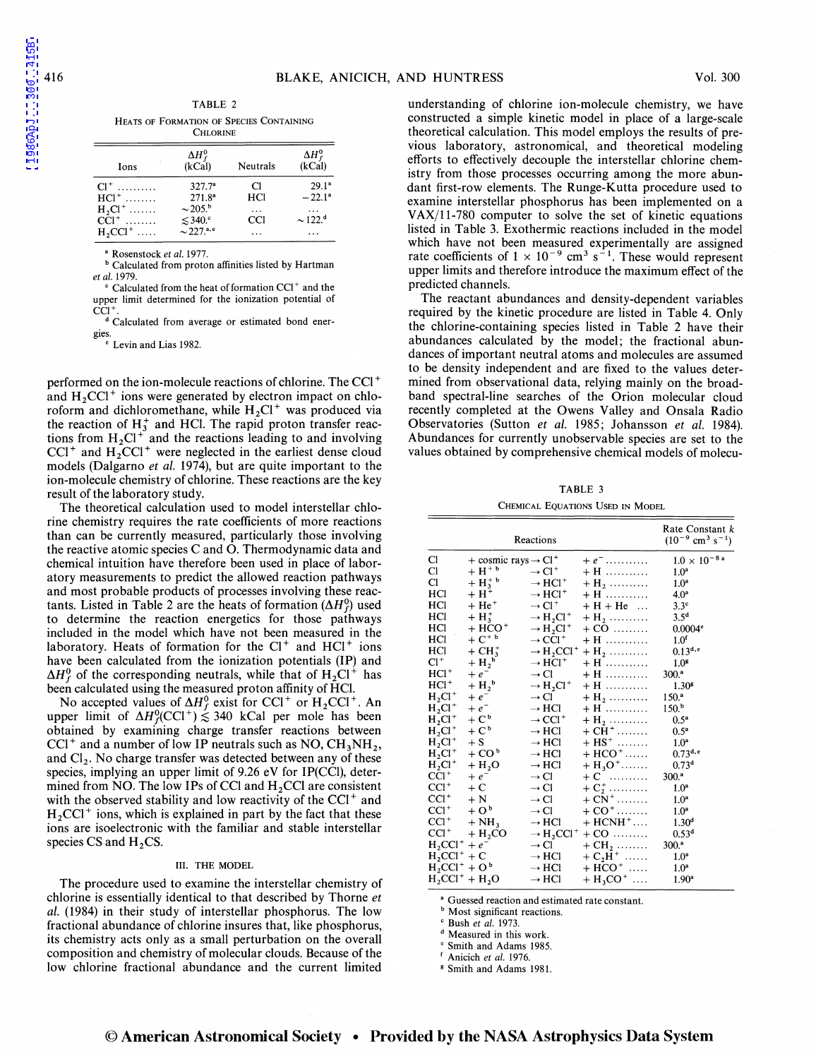| TABLE 2                                  |  |  |
|------------------------------------------|--|--|
| Heats of Formation of Species Containing |  |  |
| <b>CHLORINE</b>                          |  |  |

| Ions               | $\Delta H_f^0$<br>(kCal)    | Neutrals | $\Delta H_f^0$<br>(kCal) |
|--------------------|-----------------------------|----------|--------------------------|
| $Cl^+$             | 327.7 <sup>a</sup>          | Cl       | $29.1^a$                 |
| $HC1$ <sup>+</sup> | 271.8 <sup>a</sup>          | HCl      | $-22.1^a$                |
| $H_2Cl^+$          | $\sim$ 205. <sup>b</sup>    | $\cdots$ | $\cdots$                 |
| $CC1$ <sup>+</sup> | $\leq 340$ .                | CCI      | $\sim$ 122. <sup>d</sup> |
| $H, CCl^+$         | $\sim$ 227. <sup>a, e</sup> |          | $\cdots$                 |

• Rosenstock *et a/.* 1977.

b Calculated from proton affinities listed by Hartman *et al.* 1979.

 $c$  Calculated from the heat of formation CCI $^+$  and the upper limit determined for the ionization potential of CCI

d Calculated from average or estimated bond ener-

gies

' Levin and Lias 1982.

performed on the ion-molecule reactions of chlorine. The CCI<sup>+</sup> and  $H_2CC1<sup>+</sup>$  ions were generated by electron impact on chloroform and dichloromethane, while  $H_2Cl^+$  was produced via the reaction of  $H_3^+$  and HCl. The rapid proton transfer reactions from  $H_2Cl^+$  and the reactions leading to and involving CCI<sup>+</sup> and  $H_2$ CCI<sup>+</sup> were neglected in the earliest dense cloud models (Dalgarno *et al.* 1974), but are quite important to the ion-molecule chemistry of chlorine. These reactions are the key result of the laboratory study.

The theoretical calculation used to model interstellar chlorine chemistry requires the rate coefficients of more reactions than can be currently measured, particularly those involving the reactive atomic species C and 0. Thermodynamic data and chemical intuition have therefore been used in place of laboratory measurements to predict the allowed reaction pathways and most probable products of processes involving these reactants. Listed in Table 2 are the heats of formation  $(\Delta H_f^0)$  used to determine the reaction energetics for those pathways included in the model which have not been measured in the laboratory. Heats of formation for the  $Cl<sup>+</sup>$  and  $HCl<sup>+</sup>$  ions have been calculated from the ionization potentials (IP) and  $\Delta H_f^0$  of the corresponding neutrals, while that of  $H_2Cl^+$  has been calculated using the measured proton affinity of HCl.

No accepted values of  $\Delta H_f^0$  exist for CCl<sup>+</sup> or H<sub>2</sub>CCl<sup>+</sup>. An upper limit of  $\Delta H_f^0(CCl^+) \lesssim 340$  kCal per mole has been obtained by examining charge transfer reactions between  $\text{CC1}^+$  and a number of low IP neutrals such as NO,  $\text{CH}_3\text{NH}_2$ , and  $Cl<sub>2</sub>$ . No charge transfer was detected between any of these species, implying an upper limit of 9.26 eV for IP(CCI), determined from NO. The low IPs of CCI and  $H_2$ CCI are consistent with the observed stability and low reactivity of the  $CCI<sup>+</sup>$  and  $H_2CC1<sup>+</sup>$  ions, which is explained in part by the fact that these ions are isoelectronic with the familiar and stable interstellar species CS and  $H_2$ CS.

#### III. THE MODEL

The procedure used to examine the interstellar chemistry of chlorine is essentially identical to that described by Thorne *et al.* (1984) in their study of interstellar phosphorus. The low fractional abundance of chlorine insures that, like phosphorus, its chemistry acts only as a small perturbation on the overall composition and chemistry of molecular clouds. Because of the low chlorine fractional abundance and the current limited

understanding of chlorine ion-molecule chemistry, we have constructed a simple kinetic model in place of a large-scale theoretical calculation. This model employs the results of previous laboratory, astronomical, and theoretical modeling efforts to effectively decouple the interstellar chlorine chemistry from those processes occurring among the more abundant first-row elements. The Runge-Kutta procedure used to examine interstellar phosphorus has been implemented on a  $VAX/11-780$  computer to solve the set of kinetic equations listed in Table 3. Exothermic reactions included in the model which have not been measured experimentally are assigned rate coefficients of  $1 \times 10^{-9}$  cm<sup>3</sup> s<sup>-1</sup>. These would represent upper limits and therefore introduce the maximum effect of the predicted channels.

The reactant abundances and density-dependent variables required by the kinetic procedure are listed in Table 4. Only the chlorine-containing species listed in Table 2 have their abundances calculated by the model; the fractional abundances of important neutral atoms and molecules are assumed to be density independent and are fixed to the values determined from observational data, relying mainly on the broadband spectral-line searches of the Orion molecular cloud recently completed at the Owens Valley and Onsala Radio Observatories (Sutton *et al.* 1985; Johansson *et al.* 1984). Abundances for currently unobservable species are set to the values obtained by comprehensive chemical models of molecu-

TABLE 3

### CHEMICAL EQUATIONS USED IN MODEL

|                  |                                               | Reactions                                     |                              | Rate Constant k<br>$(10^{-9}$ cm <sup>3</sup> s <sup>-1</sup> ) |
|------------------|-----------------------------------------------|-----------------------------------------------|------------------------------|-----------------------------------------------------------------|
| Cl               | $+$ cosmic rays $\rightarrow$ Cl <sup>+</sup> |                                               | $+e^{-}$                     | $1.0 \times 10^{-8}$ <sup>a</sup>                               |
| Cl               | $+H^+$ <sup>b</sup>                           | $\rightarrow$ Cl <sup>+</sup>                 | $+$ H $\ldots$               | 1.0 <sup>a</sup>                                                |
| Cl               | $+$ H <sub>3</sub> <sup>+</sup>               | $\rightarrow$ HCl <sup>+</sup>                | $+ H_2 \ldots$               | 1.0 <sup>a</sup>                                                |
| HCl              | $+H^+$                                        | $\rightarrow$ HCl <sup>+</sup>                | $+$ H                        | 4.0 <sup>a</sup>                                                |
| HCl              | $+He+$                                        | $\rightarrow$ Cl <sup>+</sup>                 | $+H+He$                      | $3.3^\circ$                                                     |
| HCl              | $+ H_3^+$                                     | $\rightarrow$ H <sub>2</sub> Cl <sup>+</sup>  | $+$ H <sub>2</sub>           | 3.5 <sup>d</sup>                                                |
| HCl              | + НСО†                                        | $\rightarrow$ H <sub>2</sub> Cl <sup>+</sup>  | $+$ CO                       | $0.0004$ <sup>e</sup>                                           |
| HCl              | $+ C+ b$                                      | $\rightarrow$ CCl <sup>+</sup>                | $+$ H $\ldots$               | 1.0 <sup>f</sup>                                                |
| HCl              | $+ CH3+$                                      | $\rightarrow$ H,CCl <sup>+</sup>              | $+$ H <sub>2</sub>           | $0.13^{d,e}$                                                    |
| $Cl^+$           | $+ H_2^b$                                     | $\rightarrow$ HCl <sup>+</sup>                | $+ H$                        | 1.0 <sup>s</sup>                                                |
| $HC1^+$          | $+e^{-}$                                      | $\rightarrow$ Cl                              | + H …………                     | 300. <sup>a</sup>                                               |
| $HCl+$           | $+ H2$ <sup>b</sup>                           | $\rightarrow$ H <sub>2</sub> Cl <sup>+</sup>  | $+$ H                        | 1.30 <sup>s</sup>                                               |
| $H_2Cl^+$        | $+ e^-$                                       | $\rightarrow$ Cl                              | $+$ H <sub>2</sub>           | 150 <sup>a</sup>                                                |
| $H_2Cl^+$        | $+ e^-$                                       | $\rightarrow$ HCl                             | $+$ H $\ldots$               | 150 <sup>b</sup>                                                |
| $H2Cl+$          | $+ C^b$                                       | $\rightarrow$ CCl <sup>+</sup>                | $+$ H <sub>2</sub>           | 0.5 <sup>a</sup>                                                |
| $H_2Cl^+$        | $+ C^b$                                       | $\rightarrow$ HCl                             | $+$ CH <sup>+</sup>          | 0.5 <sup>a</sup>                                                |
| $H_2Cl^+$        | $+ S$                                         | $\rightarrow$ HCl                             | $+$ HS <sup>+</sup>          | 1.0 <sup>a</sup>                                                |
| $H_2Cl^+$        | + $COb$                                       | $\rightarrow$ HCl                             | $+ HCO^+$                    | $0.73^{d,e}$                                                    |
| $H_2Cl^+$        | $+ H2O$                                       | $\rightarrow$ HCl                             | $+ H_3O^+$                   | 0.73 <sup>d</sup>                                               |
| $CC1+$           | $+ e^-$                                       | $\rightarrow$ Cl                              | $+ C \dots \dots$            | 300.ª                                                           |
| $CC1+$           | $+ C$                                         | $\rightarrow$ Cl                              | $+C_2^+$                     | 1.0 <sup>a</sup>                                                |
| $CC1+$           | $+ N$                                         | $\rightarrow$ Cl                              | $+ CN^+ \dots \dots$         | 1.0 <sup>a</sup>                                                |
| $CC1+$           | $+Ob$                                         | $\rightarrow$ Cl                              | $+$ CO <sup>+</sup>          | 1.0 <sup>a</sup>                                                |
| $CC1+$           | $+NH3$                                        | $\rightarrow$ HCl                             | $+$ HCNH $+$                 | 1.30 <sup>d</sup>                                               |
| $CCI+$           | + H,CO                                        | $\rightarrow$ H <sub>2</sub> CCl <sup>+</sup> | $+$ CO $\ldots$              | 0.53 <sup>d</sup>                                               |
| $H_2CCl^+ + e^-$ |                                               | $\rightarrow$ Cl                              | $+$ CH <sub>2</sub>          | 300. <sup>a</sup>                                               |
| $H, CC+ + C$     |                                               | $\rightarrow$ HCl                             | $+ C_2 \overline{H}^+ \dots$ | 1.0 <sup>a</sup>                                                |
| $H_2CCI^+ + O^b$ |                                               | $\rightarrow$ HCl                             | $+$ HCO <sup>+</sup>         | 1.0 <sup>a</sup>                                                |
|                  | $H_2CCI^+ + H_2O$                             | $\rightarrow$ HCl                             | $+ H_3CO^+ \dots$            | 1.90 <sup>a</sup>                                               |

<sup>a</sup> Guessed reaction and estimated rate constant.

**b** Most significant reactions.

' Bush *et al.* 1973.

d Measured in this work.

' Smith and Adams 1985. 1 Anicich *et al.* 1976.

• Smith and Adams 1981.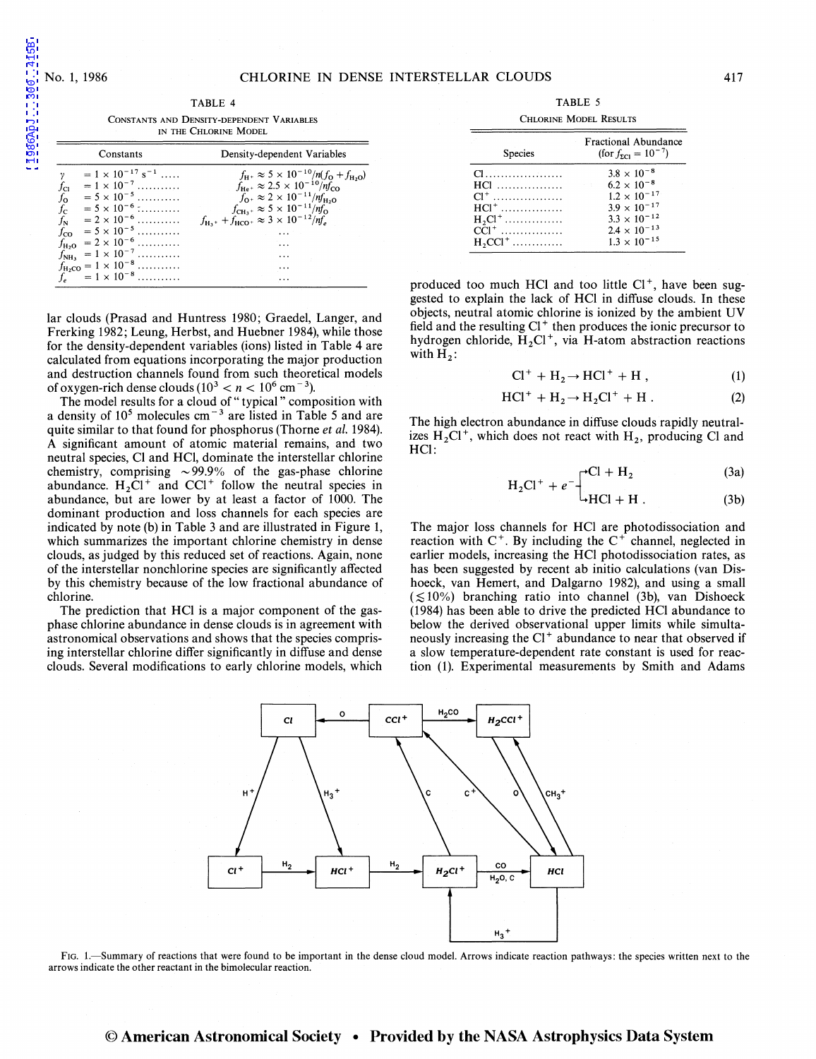1986ApJ...300..415B

TABLE 4 CoNSTANTS AND DENSITY-DEPENDENT VARIABLES IN THE CHLORINE MODEL  $y = 1 \times 10^{-17} \text{ s}^{-1} \dots$  $f_{\text{H}+} \approx 5 \times 10^{-10} / n (f_{\text{O}} + f_{\text{H}_2\text{O}})$ 

Constants Density-dependent Variables

| $f_{\text{Cl}}$ = 1 × 10 <sup>-7</sup><br>$f_{\text{O}}$ = 5 × 10 <sup>-5</sup><br>$f_{\text{C}}$ = 5 × 10 <sup>-6</sup><br>$f_{\text{N}}$ = 2 × 10 <sup>-6</sup> | $f_{\text{CH}_3^+} \approx 5 \times 10^{-11} / \eta f_0$<br>$f_{\text{H}_3^+} + f_{\text{HCO}^+} \approx 3 \times 10^{-12} / \eta f$ |
|-------------------------------------------------------------------------------------------------------------------------------------------------------------------|--------------------------------------------------------------------------------------------------------------------------------------|
| $f_{\rm CO}$ = 5 × 10 <sup>-5</sup>                                                                                                                               |                                                                                                                                      |
| $f_{\text{H}_2\text{O}}$ = 2 × 10 <sup>-6</sup>                                                                                                                   |                                                                                                                                      |
| $f_{\text{NH}_3}$ = 1 × 10 <sup>-7</sup>                                                                                                                          | .                                                                                                                                    |
| $f_{\text{H}_2\text{CO}} = 1 \times 10^{-8} \dots$                                                                                                                |                                                                                                                                      |
| $f_e = 1 \times 10^{-8}$                                                                                                                                          | $\cdots$                                                                                                                             |
|                                                                                                                                                                   |                                                                                                                                      |
|                                                                                                                                                                   | lar clouds (Prasad and Huntress 1980; Graedel, Langer, and                                                                           |

Frerking 1982; Leung, Herbst, and Huebner 1984), while those for the density-dependent variables (ions) listed in Table 4 are calculated from equations incorporating the major production and destruction channels found from such theoretical models of oxygen-rich dense clouds  $(10^3 < n < 10^6 \text{ cm}^{-3})$ .

The model results for a cloud of "typical" composition with a density of  $10^5$  molecules cm<sup>-3</sup> are listed in Table 5 and are quite similar to that found for phosphorus (Thorne *et al.* 1984). A significant amount of atomic material remains, and two neutral species, Cl and HCI, dominate the interstellar chlorine chemistry, comprising  $\sim$ 99.9% of the gas-phase chlorine abundance.  $H_2Cl^+$  and  $CCl^+$  follow the neutral species in abundance, but are lower by at least a factor of 1000. The dominant production and loss channels for each species are indicated by note (b) in Table 3 and are illustrated in Figure 1, which summarizes the important chlorine chemistry in dense clouds, as judged by this reduced set of reactions. Again, none of the interstellar nonchlorine species are significantly affected by this chemistry because of the low fractional abundance of chlorine.

The prediction that HCI is a major component of the gasphase chlorine abundance in dense clouds is in agreement with astronomical observations and shows that the species comprising interstellar chlorine differ significantly in diffuse and dense clouds. Several modifications to early chlorine models, which

TABLE 5

| <b>CHLORINE MODEL RESULTS</b>                                                                                                   |                                                                                                                                                                           |  |
|---------------------------------------------------------------------------------------------------------------------------------|---------------------------------------------------------------------------------------------------------------------------------------------------------------------------|--|
| Species                                                                                                                         | <b>Fractional Abundance</b><br>$(\text{for } f_{\text{ZCl}} = 10^{-7})$                                                                                                   |  |
| $\mathbf{C}$ and $\mathbf{C}$ and $\mathbf{C}$<br>$HC1$<br>$Cl^+$<br>$HC1^+$<br>$H_2Cl^+$<br>$ CCI^+$<br>$H$ , CCl <sup>+</sup> | $3.8 \times 10^{-8}$<br>$6.2 \times 10^{-8}$<br>$1.2 \times 10^{-17}$<br>$3.9 \times 10^{-17}$<br>$3.3 \times 10^{-12}$<br>$2.4 \times 10^{-13}$<br>$1.3 \times 10^{-15}$ |  |

produced too much HCl and too little  $Cl<sup>+</sup>$ , have been suggested to explain the lack of HCI in diffuse clouds. In these objects, neutral atomic chlorine is ionized by the ambient UV field and the resulting  $Cl<sup>+</sup>$  then produces the ionic precursor to hydrogen chloride,  $H_2Cl^+$ , via H-atom abstraction reactions with  $H_2$ :

$$
Cl^+ + H_2 \rightarrow HCl^+ + H , \qquad (1)
$$

$$
HCl^{+} + H_{2} \rightarrow H_{2}Cl^{+} + H .
$$
 (2)

The high electron abundance in diffuse clouds rapidly neutralizes  $H_2Cl^+$ , which does not react with  $H_2$ , producing Cl and HCI:

$$
H_2Cl^+ + e^{-}\int^{PCl + H_2}
$$
 (3a)

(3b)

The major loss channels for HCI are photodissociation and reaction with  $C^+$ . By including the  $C^+$  channel, neglected in earlier models, increasing the HCI photodissociation rates, as has been suggested by recent ab initio calculations (van Dishoeck, van Hemert, and Dalgarno 1982), and using a small  $(\leq 10\%)$  branching ratio into channel (3b), van Dishoeck (1984) has been able to drive the predicted HCI abundance to below the derived observational upper limits while simultaneously increasing the  $Cl<sup>+</sup>$  abundance to near that observed if a slow temperature-dependent rate constant is used for reaction (1). Experimental measurements by Smith and Adams



FIG. 1.-Summary of reactions that were found to be important in the dense cloud model. Arrows indicate reaction pathways: the species written next to the arrows indicate the other reactant in the bimolecular reaction.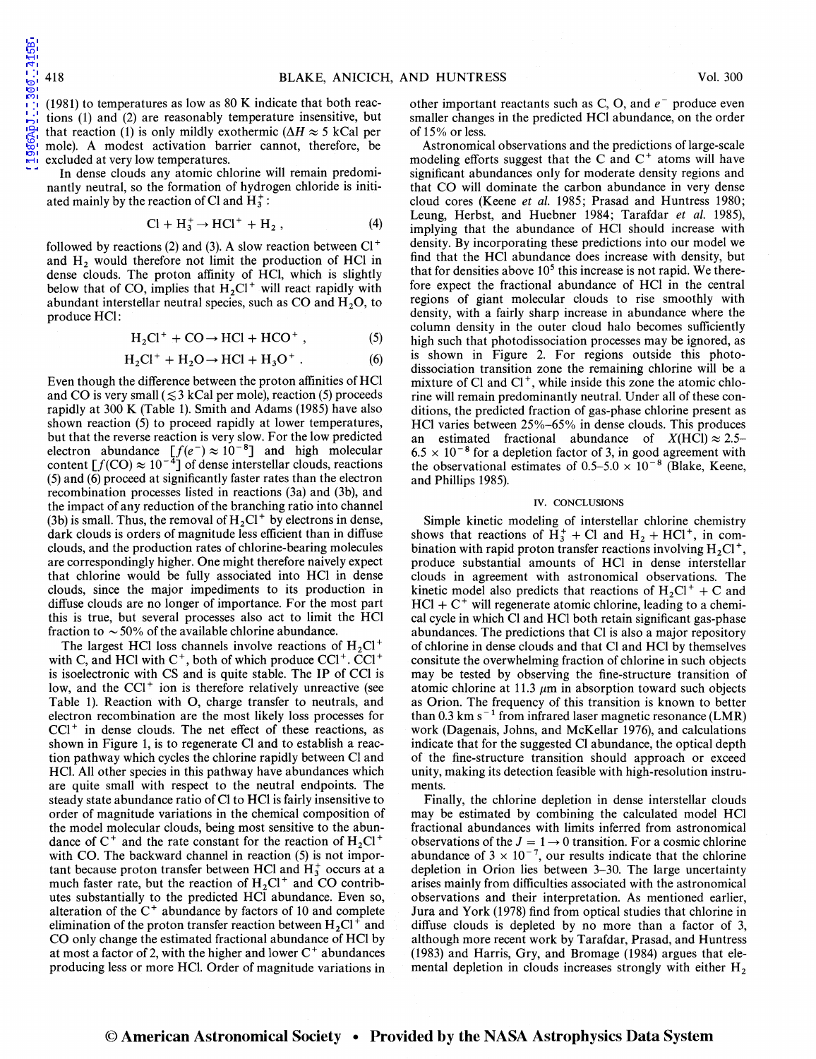(1981) to temperatures as low as 80 K indicate that both reactions (1) and (2) are reasonably temperature insensitive, but that reaction (1) is only mildly exothermic ( $\Delta H \approx 5$  kCal per mole). A modest activation barrier cannot, therefore, be excluded at very low temperatures.

In dense clouds any atomic chlorine will remain predominantly neutral, so the formation of hydrogen chloride is initiated mainly by the reaction of Cl and  $H_3^+$ :

$$
\text{Cl} + \text{H}_3^+ \rightarrow \text{HCl}^+ + \text{H}_2 , \tag{4}
$$

followed by reactions (2) and (3). A slow reaction between  $Cl<sup>+</sup>$ and  $H<sub>2</sub>$  would therefore not limit the production of HCl in dense clouds. The proton affinity of HCI, which is slightly below that of CO, implies that  $H<sub>2</sub>Cl<sup>+</sup>$  will react rapidly with abundant interstellar neutral species, such as CO and  $H_2O$ , to produce HCI:

$$
H_2Cl^+ + CO \rightarrow HCl + HCO^+ , \qquad (5)
$$

$$
H_2Cl^+ + H_2O \rightarrow HCl + H_3O^+ . \tag{6}
$$

Even though the difference between the proton affinities of HCl and CO is very small ( $\leq$  3 kCal per mole), reaction (5) proceeds rapidly at 300 K (Table 1). Smith and Adams (1985) have also shown reaction (5) to proceed rapidly at lower temperatures, but that the reverse reaction is very slow. For the low predicted electron abundance  $[f(e^-) \approx 10^{-8}]$  and high molecular content  $[f(CO) \approx 10^{-4}]$  of dense interstellar clouds, reactions (5) and (6) proceed at significantly faster rates than the electron recombination processes listed in reactions (3a) and (3b), and the impact of any reduction of the branching ratio into channel (3b) is small. Thus, the removal of  $H_2Cl^+$  by electrons in dense, dark clouds is orders of magnitude less efficient than in diffuse clouds, and the production rates of chlorine-bearing molecules are correspondingly higher. One might therefore naively expect that chlorine would be fully associated into HCI in dense clouds, since the major impediments to its production in diffuse clouds are no longer of importance. For the most part this is true, but several processes also act to limit the HCI fraction to  $\sim$  50% of the available chlorine abundance.

The largest HCl loss channels involve reactions of  $H_2Cl^+$ with C, and HCl with  $C^+$ , both of which produce  $CCl^+$ .  $CCl^+$ is isoelectronic with CS and is quite stable. The IP of CCI is low, and the  $CCl^+$  ion is therefore relatively unreactive (see Table 1). Reaction with 0, charge transfer to neutrals, and electron recombination are the most likely loss processes for  $CC1<sup>+</sup>$  in dense clouds. The net effect of these reactions, as shown in Figure 1, is to regenerate Cl and to establish a reaction pathway which cycles the chlorine rapidly between Cl and HCI. All other species in this pathway have abundances which are quite small with respect to the neutral endpoints. The steady state abundance ratio of Cl to HCI is fairly insensitive to order of magnitude variations in the chemical composition of the model molecular clouds, being most sensitive to the abundance of  $C^+$  and the rate constant for the reaction of  $H_2Cl^+$ with CO. The backward channel in reaction (5) is not important because proton transfer between HCl and  $H_3^+$  occurs at a much faster rate, but the reaction of  $H_2Cl^+$  and CO contributes substantially to the predicted HCI abundance. Even so, alteration of the  $C^+$  abundance by factors of 10 and complete elimination of the proton transfer reaction between  $H_2Cl^+$  and CO only change the estimated fractional abundance of HCI by at most a factor of 2, with the higher and lower  $C^+$  abundances producing less or more HCI. Order of magnitude variations in

other important reactants such as C, O, and  $e^-$  produce even smaller changes in the predicted HCI abundance, on the order of 15% or less.

Astronomical observations and the predictions of large-scale modeling efforts suggest that the C and  $C^+$  atoms will have significant abundances only for moderate density regions and that CO will dominate the carbon abundance in very dense cloud cores (Keene *et al.* 1985; Prasad and Huntress 1980; Leung, Herbst, and Huebner 1984; Tarafdar *et al.* 1985), implying that the abundance of HCI should increase with density. By incorporating these predictions into our model we find that the HCI abundance does increase with density, but that for densities above  $10<sup>5</sup>$  this increase is not rapid. We therefore expect the fractional abundance of HCI in the central regions of giant molecular clouds to rise smoothly with density, with a fairly sharp increase in abundance where the column density in the outer cloud halo becomes sufficiently high such that photodissociation processes may be ignored, as is shown in Figure 2. For regions outside this photodissociation transition zone the remaining chlorine will be a mixture of Cl and  $Cl<sup>+</sup>$ , while inside this zone the atomic chlorine will remain predominantly neutral. Under all of these conditions, the predicted fraction of gas-phase chlorine present as HCI varies between 25%-65% in dense clouds. This produces an estimated fractional abundance of  $X(HCl) \approx 2.5$ - $6.5 \times 10^{-8}$  for a depletion factor of 3, in good agreement with the observational estimates of  $0.5-5.0 \times 10^{-8}$  (Blake, Keene, and Phillips 1985).

## IV. CONCLUSIONS

Simple kinetic modeling of interstellar chlorine chemistry shows that reactions of  $H_3^+$  + Cl and  $H_2$  + HCl<sup>+</sup>, in combination with rapid proton transfer reactions involving  $H_2Cl^+$ , produce substantial amounts of HCI in dense interstellar clouds in agreement with astronomical observations. The kinetic model also predicts that reactions of  $H_2Cl^+ + C$  and  $HCl + C^+$  will regenerate atomic chlorine, leading to a chemical cycle in which Cl and HCI both retain significant gas-phase abundances. The predictions that Cl is also a major repository of chlorine in dense clouds and that Cl and HCI by themselves consitute the overwhelming fraction of chlorine in such objects may be tested by observing the fine-structure transition of atomic chlorine at 11.3  $\mu$ m in absorption toward such objects as Orion. The frequency of this transition is known to better than 0.3 km s<sup> $-1$ </sup> from infrared laser magnetic resonance (LMR) work (Dagenais, Johns, and McKellar 1976), and calculations indicate that for the suggested Cl abundance, the optical depth of the fine-structure transition should approach or exceed unity, making its detection feasible with high-resolution instruments.

Finally, the chlorine depletion in dense interstellar clouds may be estimated by combining the calculated model HCI fractional abundances with limits inferred from astronomical observations of the  $J = 1 \rightarrow 0$  transition. For a cosmic chlorine abundance of  $3 \times 10^{-7}$ , our results indicate that the chlorine depletion in Orion lies between 3-30. The large uncertainty arises mainly from difficulties associated with the astronomical observations and their interpretation. As mentioned earlier, Jura and York (1978) find from optical studies that chlorine in diffuse clouds is depleted by no more than a factor of 3, although more recent work by Tarafdar, Prasad, and Huntress (1983) and Harris, Gry, and Bromage (1984) argues that elemental depletion in clouds increases strongly with either  $H<sub>2</sub>$